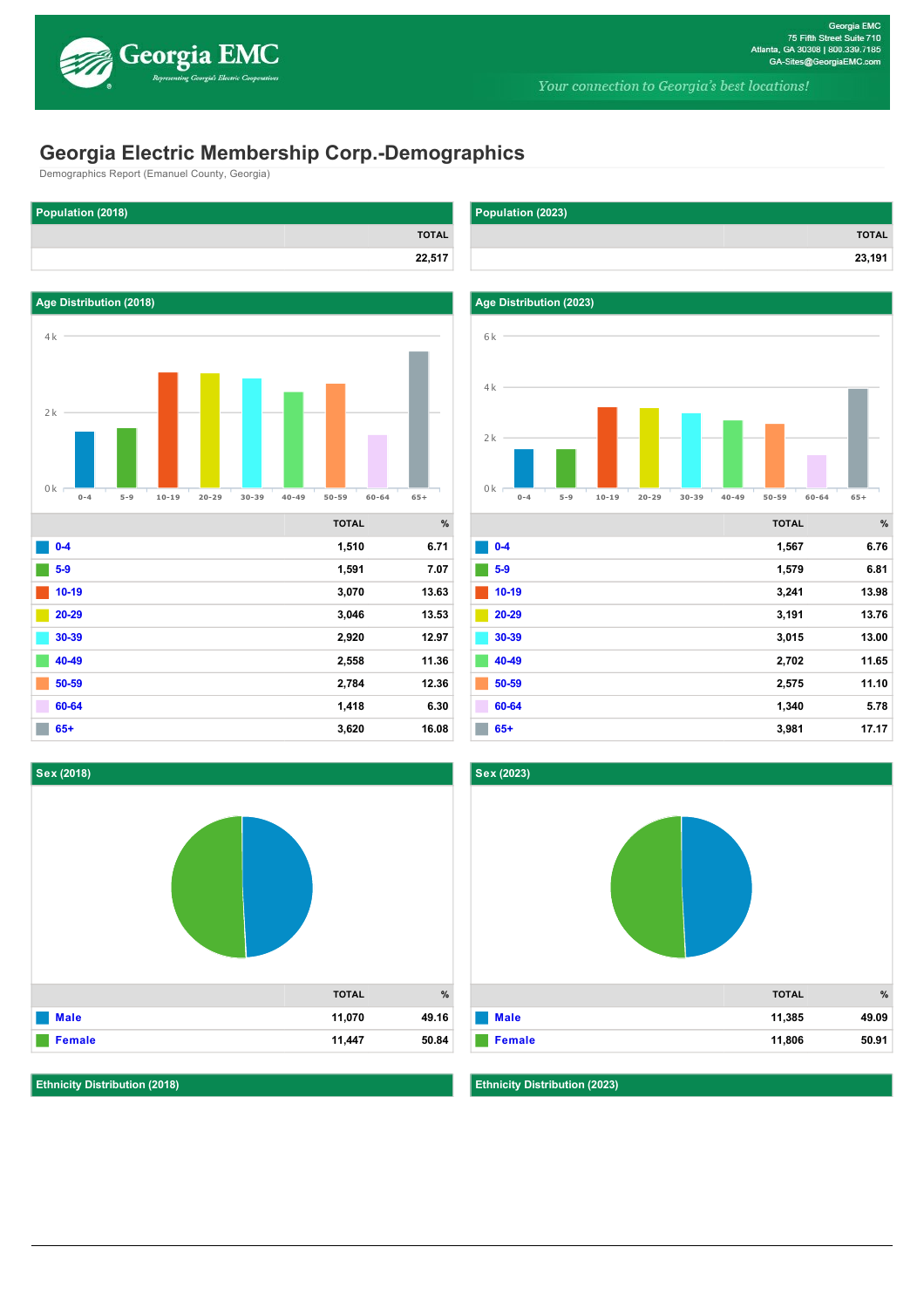

# **Georgia Electric Membership Corp.-Demographics**

**TOTAL**

Demographics Report (Emanuel County, Georgia)

**Population (2018)**



| $0-4$   | 1,510 | 6.71  |
|---------|-------|-------|
| $5-9$   | 1,591 | 7.07  |
| $10-19$ | 3,070 | 13.63 |
| 20-29   | 3,046 | 13.53 |
| 30-39   | 2,920 | 12.97 |
| 40-49   | 2,558 | 11.36 |
| 50-59   | 2,784 | 12.36 |
| 60-64   | 1,418 | 6.30  |
| $65+$   | 3,620 | 16.08 |



**Ethnicity Distribution (2018)**

0k





|         | <b>TOTAL</b> | %     |
|---------|--------------|-------|
| $0-4$   | 1,567        | 6.76  |
| $5-9$   | 1,579        | 6.81  |
| $10-19$ | 3,241        | 13.98 |
| 20-29   | 3,191        | 13.76 |
| 30-39   | 3,015        | 13.00 |
| 40-49   | 2,702        | 11.65 |
| 50-59   | 2,575        | 11.10 |
| 60-64   | 1,340        | 5.78  |
| $65+$   | 3,981        | 17.17 |



**Ethnicity Distribution (2023)**

0k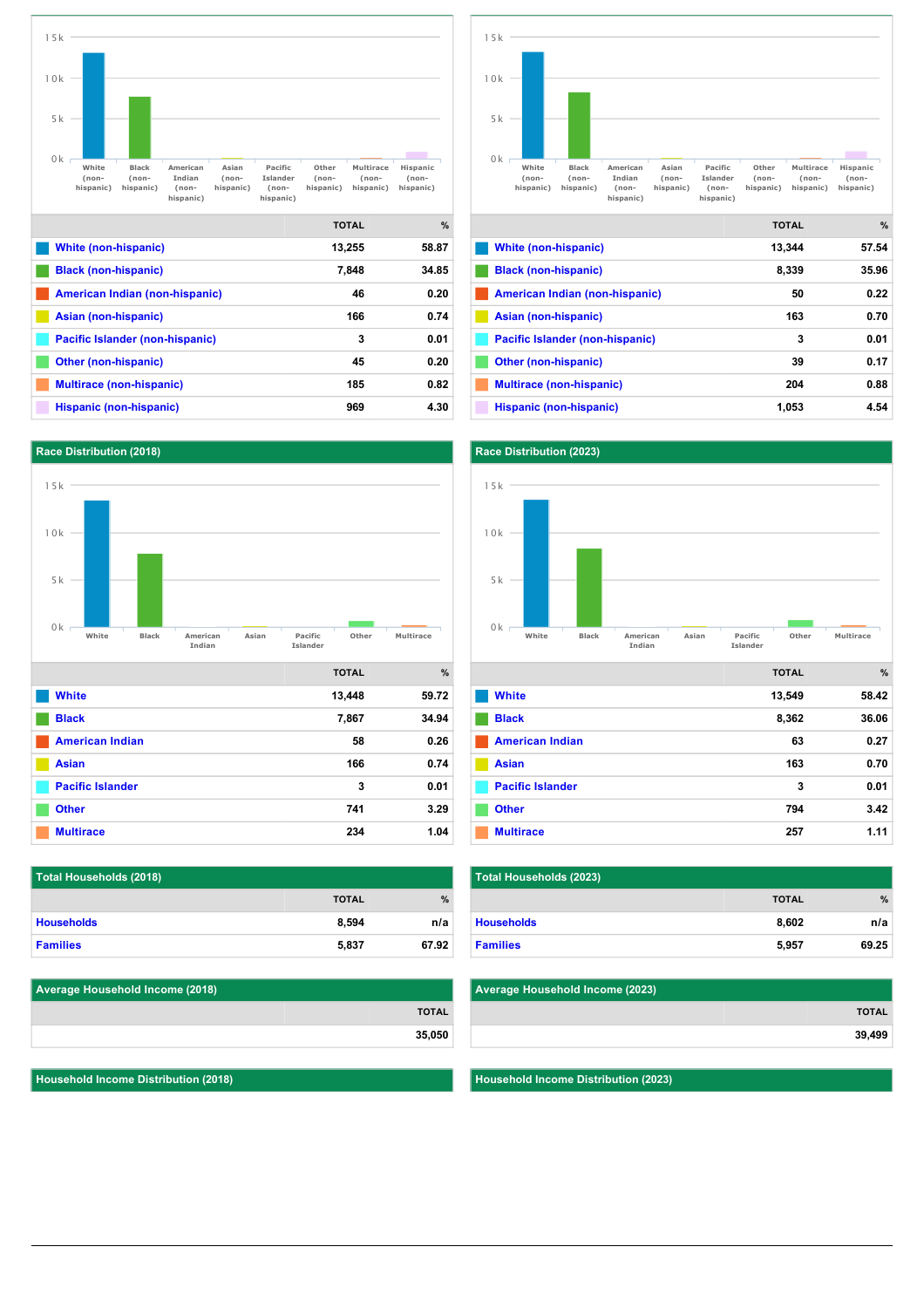



| White (non-hispanic)            | 13.344 | 57.54 |
|---------------------------------|--------|-------|
| <b>Black (non-hispanic)</b>     | 8,339  | 35.96 |
| American Indian (non-hispanic)  | 50     | 0.22  |
| Asian (non-hispanic)            | 163    | 0.70  |
| Pacific Islander (non-hispanic) | 3      | 0.01  |
| <b>Other (non-hispanic)</b>     | 39     | 0.17  |
| <b>Multirace (non-hispanic)</b> | 204    | 0.88  |
| Hispanic (non-hispanic)         | 1,053  | 4.54  |



|                         | <b>TOTAL</b> | $\frac{9}{6}$ |
|-------------------------|--------------|---------------|
| <b>White</b>            | 13,549       | 58.42         |
| <b>Black</b>            | 8,362        | 36.06         |
| <b>American Indian</b>  | 63           | 0.27          |
| <b>Asian</b>            | 163          | 0.70          |
| <b>Pacific Islander</b> | 3            | 0.01          |
| <b>Other</b>            | 794          | 3.42          |
| <b>Multirace</b>        | 257          | 1.11          |

| Total Households (2023) |              |               |  |
|-------------------------|--------------|---------------|--|
|                         | <b>TOTAL</b> | $\frac{9}{6}$ |  |
| <b>Households</b>       | 8,602        | n/a           |  |
| <b>Families</b>         | 5,957        | 69.25         |  |

| Average Household Income (2023) |              |
|---------------------------------|--------------|
|                                 | <b>TOTAL</b> |
|                                 | 39,499       |
|                                 |              |

**Household Income Distribution (2023)**

| 15k                         |                    |       |                     |              |           |   |
|-----------------------------|--------------------|-------|---------------------|--------------|-----------|---|
| 10k                         |                    |       |                     |              |           |   |
| 5k                          |                    |       |                     |              |           |   |
| 0k<br>White<br><b>Black</b> | American<br>Indian | Asian | Pacific<br>Islander | Other        | Multirace |   |
|                             |                    |       |                     | <b>TOTAL</b> |           | % |
| <b>White</b>                |                    |       |                     | 13,448       | 59.72     |   |
| <b>Black</b>                |                    |       |                     | 7,867        | 34.94     |   |
| <b>American Indian</b>      |                    |       |                     | 58           | 0.26      |   |
| <b>Asian</b>                |                    |       |                     | 166          | 0.74      |   |
| <b>Pacific Islander</b>     |                    |       |                     | 3            | 0.01      |   |

| Total Households (2018) |              |               |  |
|-------------------------|--------------|---------------|--|
|                         | <b>TOTAL</b> | $\frac{9}{6}$ |  |
| <b>Households</b>       | 8,594        | n/a           |  |
| <b>Families</b>         | 5,837        | 67.92         |  |

**[Other](http://georgiaemc.zoomprospector.com/#) 741 3.29 [Multirace](http://georgiaemc.zoomprospector.com/#) 234 1.04** 

| <b>Average Household Income (2018)</b> |              |
|----------------------------------------|--------------|
|                                        | <b>TOTAL</b> |
|                                        | 35,050       |

**Household Income Distribution (2018)**

**Race Distribution (2018)**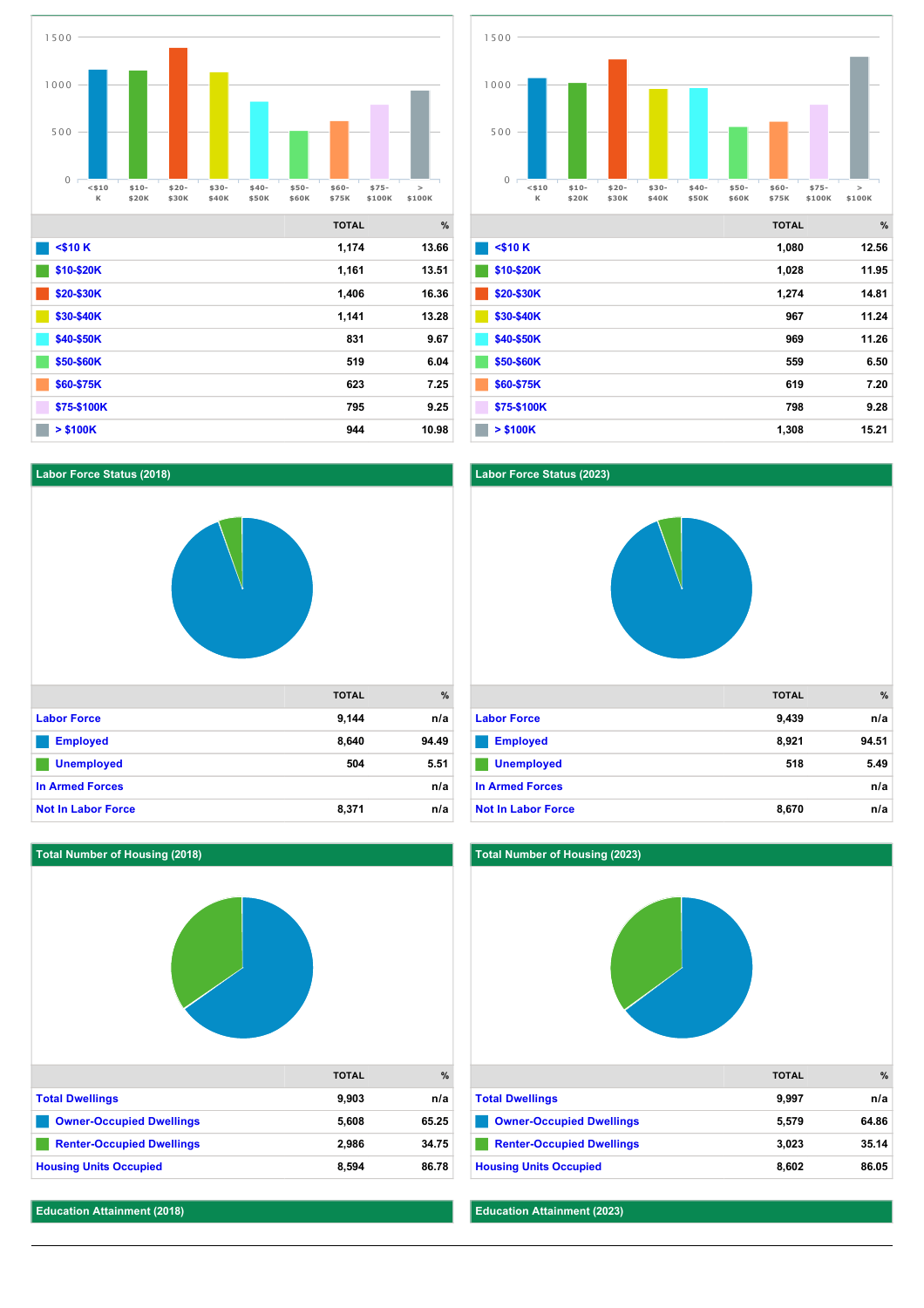

**[\\$60\\$75K](http://georgiaemc.zoomprospector.com/#) 623 7.25 [\\$75\\$100K](http://georgiaemc.zoomprospector.com/#) 795 9.25 10.98 10.98 10.98** 

![](_page_2_Figure_1.jpeg)

|              | <b>TOTAL</b> | %     |
|--------------|--------------|-------|
| $<$ \$10 $K$ | 1,080        | 12.56 |
| \$10-\$20K   | 1,028        | 11.95 |
| \$20-\$30K   | 1,274        | 14.81 |
| \$30-\$40K   | 967          | 11.24 |
| \$40-\$50K   | 969          | 11.26 |
| \$50-\$60K   | 559          | 6.50  |
| \$60-\$75K   | 619          | 7.20  |
| \$75-\$100K  | 798          | 9.28  |
| $>$ \$100K   | 1,308        | 15.21 |

## **Labor Force Status (2018)**

![](_page_2_Picture_4.jpeg)

![](_page_2_Picture_5.jpeg)

![](_page_2_Figure_6.jpeg)

|                                  | <b>TOTAL</b> | %     |
|----------------------------------|--------------|-------|
| <b>Total Dwellings</b>           | 9,997        | n/a   |
| <b>Owner-Occupied Dwellings</b>  | 5,579        | 64.86 |
| <b>Renter-Occupied Dwellings</b> | 3,023        | 35.14 |
| <b>Housing Units Occupied</b>    | 8,602        | 86.05 |

### **Education Attainment (2018)**

7.5k

7.5k

**Education Attainment (2023)**

**Total Number of Housing (2023)**